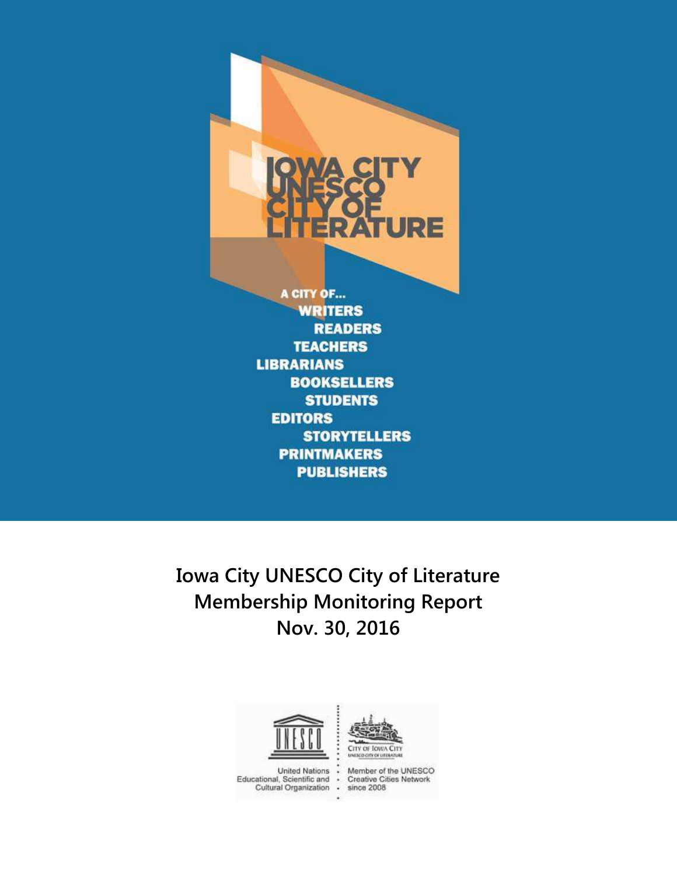

**LIBRARIANS BOOKSELLERS STUDENTS EDITORS STORYTELLERS PRINTMAKERS PUBLISHERS** 

**Iowa City UNESCO City of Literature Membership Monitoring Report Nov. 30, 2016**





**United Nations** Educational, Scientific and Cultural Organization Member of the UNESCO<br>Creative Cities Network since 2008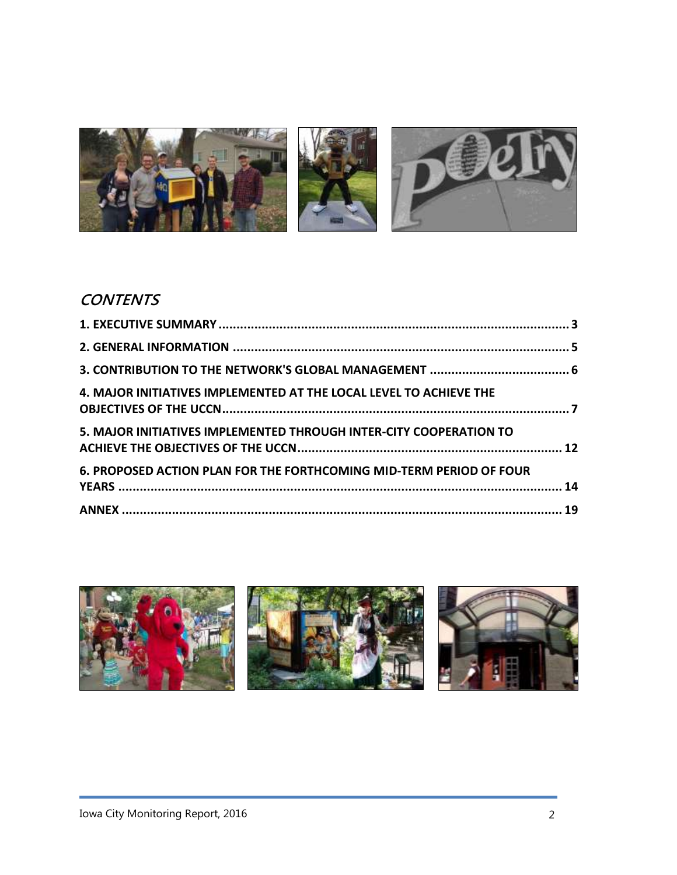

# **CONTENTS**

| 4. MAJOR INITIATIVES IMPLEMENTED AT THE LOCAL LEVEL TO ACHIEVE THE  |  |
|---------------------------------------------------------------------|--|
| 5. MAJOR INITIATIVES IMPLEMENTED THROUGH INTER-CITY COOPERATION TO  |  |
| 6. PROPOSED ACTION PLAN FOR THE FORTHCOMING MID-TERM PERIOD OF FOUR |  |
|                                                                     |  |

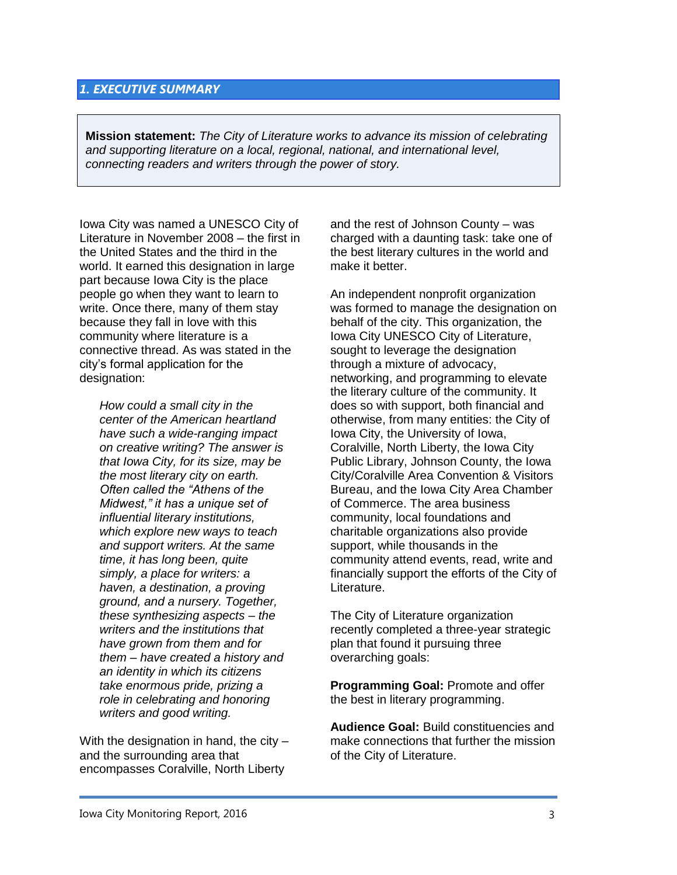### <span id="page-2-0"></span>*1. EXECUTIVE SUMMARY*

**Mission statement:** *The City of Literature works to advance its mission of celebrating and supporting literature on a local, regional, national, and international level, connecting readers and writers through the power of story.*

Iowa City was named a UNESCO City of Literature in November 2008 – the first in the United States and the third in the world. It earned this designation in large part because Iowa City is the place people go when they want to learn to write. Once there, many of them stay because they fall in love with this community where literature is a connective thread. As was stated in the city's formal application for the designation:

*How could a small city in the center of the American heartland have such a wide-ranging impact on creative writing? The answer is that Iowa City, for its size, may be the most literary city on earth. Often called the "Athens of the Midwest," it has a unique set of influential literary institutions, which explore new ways to teach and support writers. At the same time, it has long been, quite simply, a place for writers: a haven, a destination, a proving ground, and a nursery. Together, these synthesizing aspects – the writers and the institutions that have grown from them and for them – have created a history and an identity in which its citizens take enormous pride, prizing a role in celebrating and honoring writers and good writing.*

With the designation in hand, the city – and the surrounding area that encompasses Coralville, North Liberty

and the rest of Johnson County – was charged with a daunting task: take one of the best literary cultures in the world and make it better.

An independent nonprofit organization was formed to manage the designation on behalf of the city. This organization, the Iowa City UNESCO City of Literature, sought to leverage the designation through a mixture of advocacy, networking, and programming to elevate the literary culture of the community. It does so with support, both financial and otherwise, from many entities: the City of Iowa City, the University of Iowa, Coralville, North Liberty, the Iowa City Public Library, Johnson County, the Iowa City/Coralville Area Convention & Visitors Bureau, and the Iowa City Area Chamber of Commerce. The area business community, local foundations and charitable organizations also provide support, while thousands in the community attend events, read, write and financially support the efforts of the City of Literature.

The City of Literature organization recently completed a three-year strategic plan that found it pursuing three overarching goals:

**Programming Goal:** Promote and offer the best in literary programming.

**Audience Goal:** Build constituencies and make connections that further the mission of the City of Literature.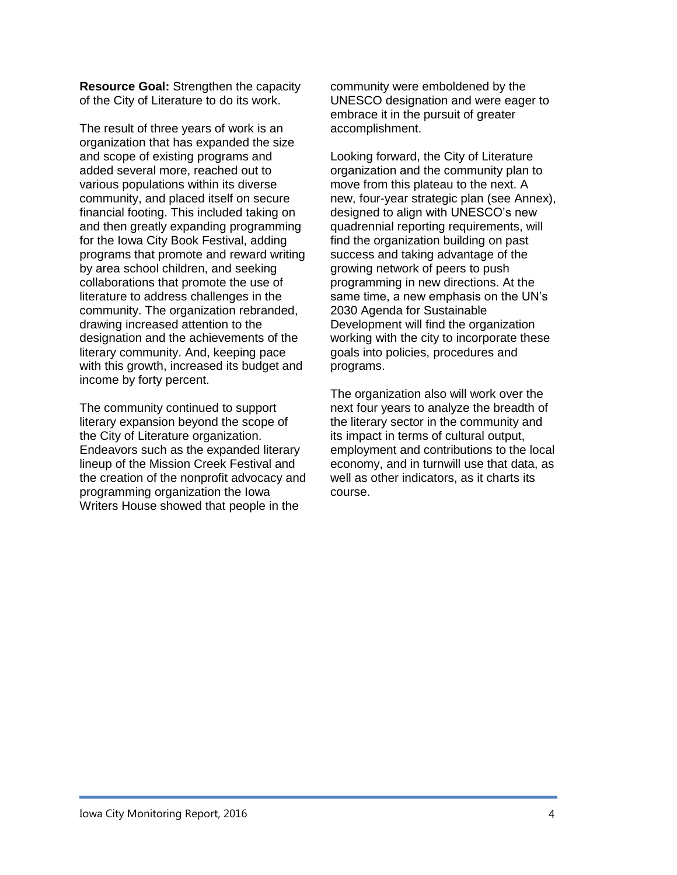**Resource Goal:** Strengthen the capacity of the City of Literature to do its work.

The result of three years of work is an organization that has expanded the size and scope of existing programs and added several more, reached out to various populations within its diverse community, and placed itself on secure financial footing. This included taking on and then greatly expanding programming for the Iowa City Book Festival, adding programs that promote and reward writing by area school children, and seeking collaborations that promote the use of literature to address challenges in the community. The organization rebranded, drawing increased attention to the designation and the achievements of the literary community. And, keeping pace with this growth, increased its budget and income by forty percent.

The community continued to support literary expansion beyond the scope of the City of Literature organization. Endeavors such as the expanded literary lineup of the Mission Creek Festival and the creation of the nonprofit advocacy and programming organization the Iowa Writers House showed that people in the

community were emboldened by the UNESCO designation and were eager to embrace it in the pursuit of greater accomplishment.

Looking forward, the City of Literature organization and the community plan to move from this plateau to the next. A new, four-year strategic plan (see Annex), designed to align with UNESCO's new quadrennial reporting requirements, will find the organization building on past success and taking advantage of the growing network of peers to push programming in new directions. At the same time, a new emphasis on the UN's 2030 Agenda for Sustainable Development will find the organization working with the city to incorporate these goals into policies, procedures and programs.

The organization also will work over the next four years to analyze the breadth of the literary sector in the community and its impact in terms of cultural output, employment and contributions to the local economy, and in turnwill use that data, as well as other indicators, as it charts its course.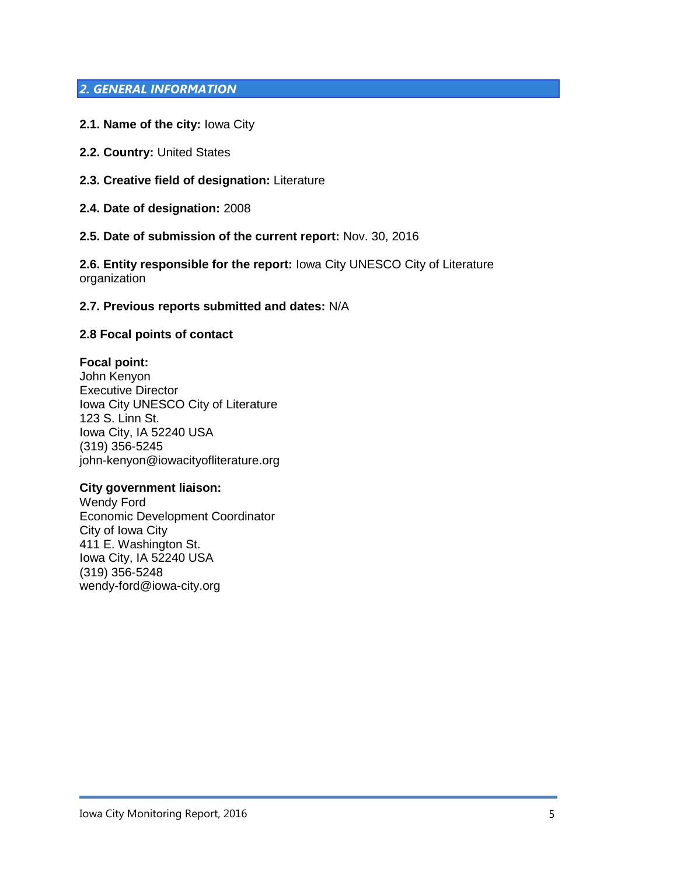# <span id="page-4-0"></span>*2. GENERAL INFORMATION*

- **2.1. Name of the city:** Iowa City
- **2.2. Country:** United States
- **2.3. Creative field of designation:** Literature
- **2.4. Date of designation:** 2008
- **2.5. Date of submission of the current report:** Nov. 30, 2016

**2.6. Entity responsible for the report:** Iowa City UNESCO City of Literature organization

#### **2.7. Previous reports submitted and dates:** N/A

#### **2.8 Focal points of contact**

#### **Focal point:**

John Kenyon Executive Director Iowa City UNESCO City of Literature 123 S. Linn St. Iowa City, IA 52240 USA (319) 356-5245 john-kenyon@iowacityofliterature.org

#### **City government liaison:**

Wendy Ford Economic Development Coordinator City of Iowa City 411 E. Washington St. Iowa City, IA 52240 USA (319) 356-5248 wendy-ford@iowa-city.org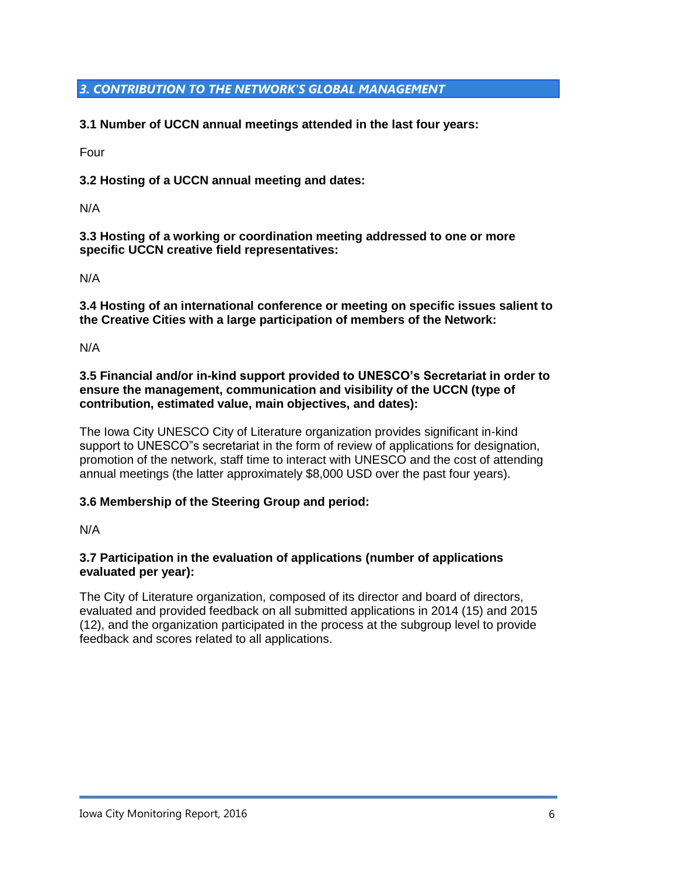# <span id="page-5-0"></span>*3. CONTRIBUTION TO THE NETWORK'S GLOBAL MANAGEMENT*

**3.1 Number of UCCN annual meetings attended in the last four years:**

Four

**3.2 Hosting of a UCCN annual meeting and dates:**

N/A

**3.3 Hosting of a working or coordination meeting addressed to one or more specific UCCN creative field representatives:**

N/A

**3.4 Hosting of an international conference or meeting on specific issues salient to the Creative Cities with a large participation of members of the Network:**

N/A

**3.5 Financial and/or in-kind support provided to UNESCO's Secretariat in order to ensure the management, communication and visibility of the UCCN (type of contribution, estimated value, main objectives, and dates):**

The Iowa City UNESCO City of Literature organization provides significant in-kind support to UNESCO"s secretariat in the form of review of applications for designation, promotion of the network, staff time to interact with UNESCO and the cost of attending annual meetings (the latter approximately \$8,000 USD over the past four years).

# **3.6 Membership of the Steering Group and period:**

N/A

### **3.7 Participation in the evaluation of applications (number of applications evaluated per year):**

The City of Literature organization, composed of its director and board of directors, evaluated and provided feedback on all submitted applications in 2014 (15) and 2015 (12), and the organization participated in the process at the subgroup level to provide feedback and scores related to all applications.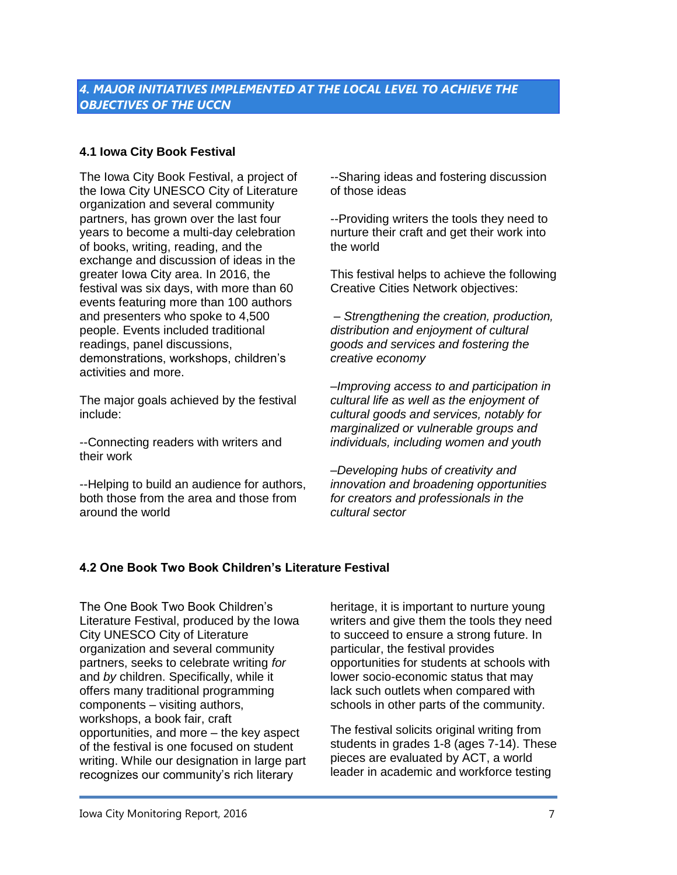# <span id="page-6-0"></span>**4.1 Iowa City Book Festival**

The Iowa City Book Festival, a project of the Iowa City UNESCO City of Literature organization and several community partners, has grown over the last four years to become a multi-day celebration of books, writing, reading, and the exchange and discussion of ideas in the greater Iowa City area. In 2016, the festival was six days, with more than 60 events featuring more than 100 authors and presenters who spoke to 4,500 people. Events included traditional readings, panel discussions, demonstrations, workshops, children's activities and more.

The major goals achieved by the festival include:

--Connecting readers with writers and their work

--Helping to build an audience for authors, both those from the area and those from around the world

--Sharing ideas and fostering discussion of those ideas

--Providing writers the tools they need to nurture their craft and get their work into the world

This festival helps to achieve the following Creative Cities Network objectives:

*– Strengthening the creation, production, distribution and enjoyment of cultural goods and services and fostering the creative economy* 

*–Improving access to and participation in cultural life as well as the enjoyment of cultural goods and services, notably for marginalized or vulnerable groups and individuals, including women and youth*

*–Developing hubs of creativity and innovation and broadening opportunities for creators and professionals in the cultural sector*

### **4.2 One Book Two Book Children's Literature Festival**

The One Book Two Book Children's Literature Festival, produced by the Iowa City UNESCO City of Literature organization and several community partners, seeks to celebrate writing *for*  and *by* children. Specifically, while it offers many traditional programming components – visiting authors, workshops, a book fair, craft opportunities, and more – the key aspect of the festival is one focused on student writing. While our designation in large part recognizes our community's rich literary

heritage, it is important to nurture young writers and give them the tools they need to succeed to ensure a strong future. In particular, the festival provides opportunities for students at schools with lower socio-economic status that may lack such outlets when compared with schools in other parts of the community.

The festival solicits original writing from students in grades 1-8 (ages 7-14). These pieces are evaluated by ACT, a world leader in academic and workforce testing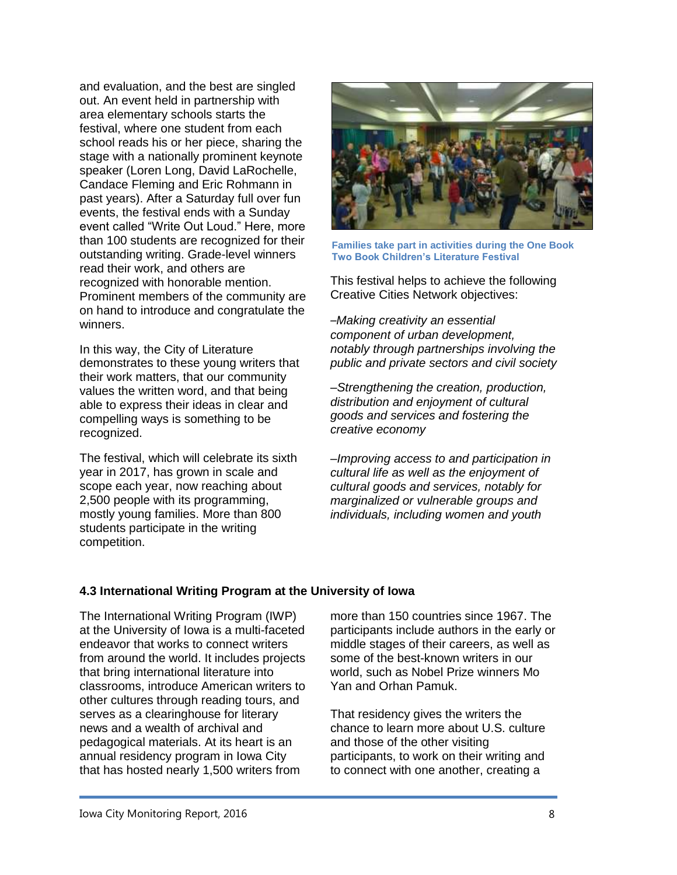and evaluation, and the best are singled out. An event held in partnership with area elementary schools starts the festival, where one student from each school reads his or her piece, sharing the stage with a nationally prominent keynote speaker (Loren Long, David LaRochelle, Candace Fleming and Eric Rohmann in past years). After a Saturday full over fun events, the festival ends with a Sunday event called "Write Out Loud." Here, more than 100 students are recognized for their outstanding writing. Grade-level winners read their work, and others are recognized with honorable mention. Prominent members of the community are on hand to introduce and congratulate the winners.

In this way, the City of Literature demonstrates to these young writers that their work matters, that our community values the written word, and that being able to express their ideas in clear and compelling ways is something to be recognized.

The festival, which will celebrate its sixth year in 2017, has grown in scale and scope each year, now reaching about 2,500 people with its programming, mostly young families. More than 800 students participate in the writing competition.



**Families take part in activities during the One Book Two Book Children's Literature Festival**

This festival helps to achieve the following Creative Cities Network objectives:

*–Making creativity an essential component of urban development, notably through partnerships involving the public and private sectors and civil society*

*–Strengthening the creation, production, distribution and enjoyment of cultural goods and services and fostering the creative economy*

*–Improving access to and participation in cultural life as well as the enjoyment of cultural goods and services, notably for marginalized or vulnerable groups and individuals, including women and youth*

### **4.3 International Writing Program at the University of Iowa**

The International Writing Program (IWP) at the University of Iowa is a multi-faceted endeavor that works to connect writers from around the world. It includes projects that bring international literature into classrooms, introduce American writers to other cultures through reading tours, and serves as a clearinghouse for literary news and a wealth of archival and pedagogical materials. At its heart is an annual residency program in Iowa City that has hosted nearly 1,500 writers from

more than 150 countries since 1967. The participants include authors in the early or middle stages of their careers, as well as some of the best-known writers in our world, such as Nobel Prize winners Mo Yan and Orhan Pamuk.

That residency gives the writers the chance to learn more about U.S. culture and those of the other visiting participants, to work on their writing and to connect with one another, creating a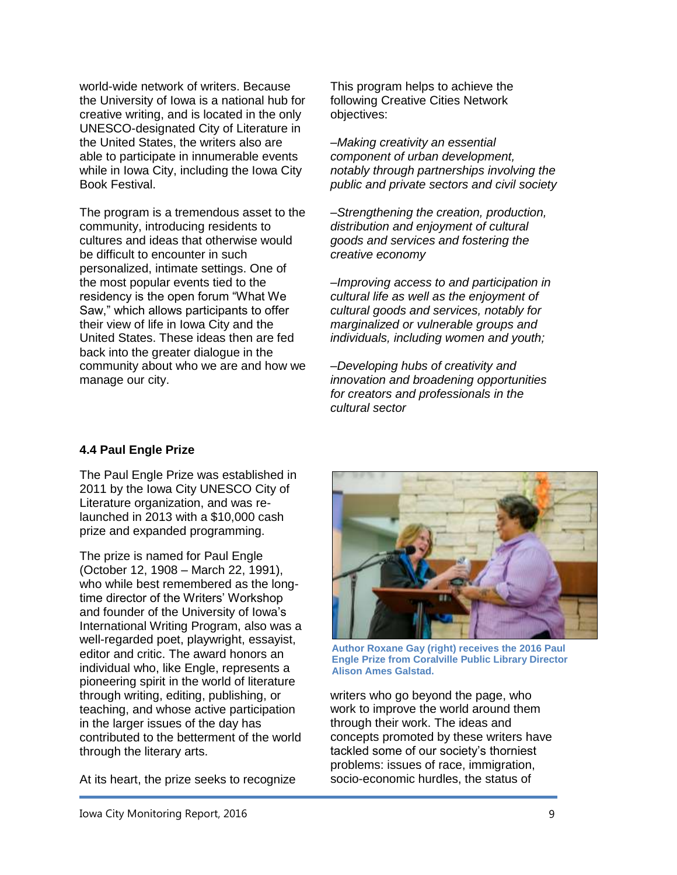world-wide network of writers. Because the University of Iowa is a national hub for creative writing, and is located in the only UNESCO-designated City of Literature in the United States, the writers also are able to participate in innumerable events while in Iowa City, including the Iowa City Book Festival.

The program is a tremendous asset to the community, introducing residents to cultures and ideas that otherwise would be difficult to encounter in such personalized, intimate settings. One of the most popular events tied to the residency is the open forum "What We Saw," which allows participants to offer their view of life in Iowa City and the United States. These ideas then are fed back into the greater dialogue in the community about who we are and how we manage our city.

This program helps to achieve the following Creative Cities Network objectives:

*–Making creativity an essential component of urban development, notably through partnerships involving the public and private sectors and civil society*

*–Strengthening the creation, production, distribution and enjoyment of cultural goods and services and fostering the creative economy* 

*–Improving access to and participation in cultural life as well as the enjoyment of cultural goods and services, notably for marginalized or vulnerable groups and individuals, including women and youth;*

*–Developing hubs of creativity and innovation and broadening opportunities for creators and professionals in the cultural sector*

# **4.4 Paul Engle Prize**

The Paul Engle Prize was established in 2011 by the Iowa City UNESCO City of Literature organization, and was relaunched in 2013 with a \$10,000 cash prize and expanded programming.

The prize is named for Paul Engle (October 12, 1908 – March 22, 1991), who while best remembered as the longtime director of the Writers' Workshop and founder of the University of Iowa's International Writing Program, also was a well-regarded poet, playwright, essayist, editor and critic. The award honors an individual who, like Engle, represents a pioneering spirit in the world of literature through writing, editing, publishing, or teaching, and whose active participation in the larger issues of the day has contributed to the betterment of the world through the literary arts.

At its heart, the prize seeks to recognize



**Author Roxane Gay (right) receives the 2016 Paul Engle Prize from Coralville Public Library Director Alison Ames Galstad.**

writers who go beyond the page, who work to improve the world around them through their work. The ideas and concepts promoted by these writers have tackled some of our society's thorniest problems: issues of race, immigration, socio-economic hurdles, the status of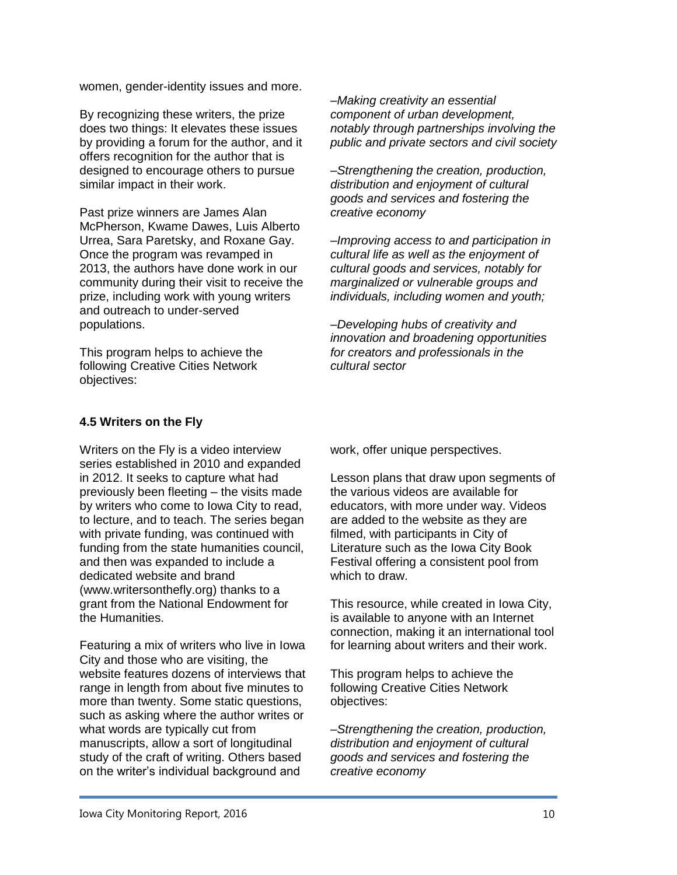women, gender-identity issues and more.

By recognizing these writers, the prize does two things: It elevates these issues by providing a forum for the author, and it offers recognition for the author that is designed to encourage others to pursue similar impact in their work.

Past prize winners are James Alan McPherson, Kwame Dawes, Luis Alberto Urrea, Sara Paretsky, and Roxane Gay. Once the program was revamped in 2013, the authors have done work in our community during their visit to receive the prize, including work with young writers and outreach to under-served populations.

This program helps to achieve the following Creative Cities Network objectives:

*–Making creativity an essential component of urban development, notably through partnerships involving the public and private sectors and civil society*

*–Strengthening the creation, production, distribution and enjoyment of cultural goods and services and fostering the creative economy* 

*–Improving access to and participation in cultural life as well as the enjoyment of cultural goods and services, notably for marginalized or vulnerable groups and individuals, including women and youth;*

*–Developing hubs of creativity and innovation and broadening opportunities for creators and professionals in the cultural sector*

# **4.5 Writers on the Fly**

Writers on the Fly is a video interview series established in 2010 and expanded in 2012. It seeks to capture what had previously been fleeting – the visits made by writers who come to Iowa City to read, to lecture, and to teach. The series began with private funding, was continued with funding from the state humanities council, and then was expanded to include a dedicated website and brand (www.writersonthefly.org) thanks to a grant from the National Endowment for the Humanities.

Featuring a mix of writers who live in Iowa City and those who are visiting, the website features dozens of interviews that range in length from about five minutes to more than twenty. Some static questions, such as asking where the author writes or what words are typically cut from manuscripts, allow a sort of longitudinal study of the craft of writing. Others based on the writer's individual background and

work, offer unique perspectives.

Lesson plans that draw upon segments of the various videos are available for educators, with more under way. Videos are added to the website as they are filmed, with participants in City of Literature such as the Iowa City Book Festival offering a consistent pool from which to draw.

This resource, while created in Iowa City, is available to anyone with an Internet connection, making it an international tool for learning about writers and their work.

This program helps to achieve the following Creative Cities Network objectives:

*–Strengthening the creation, production, distribution and enjoyment of cultural goods and services and fostering the creative economy*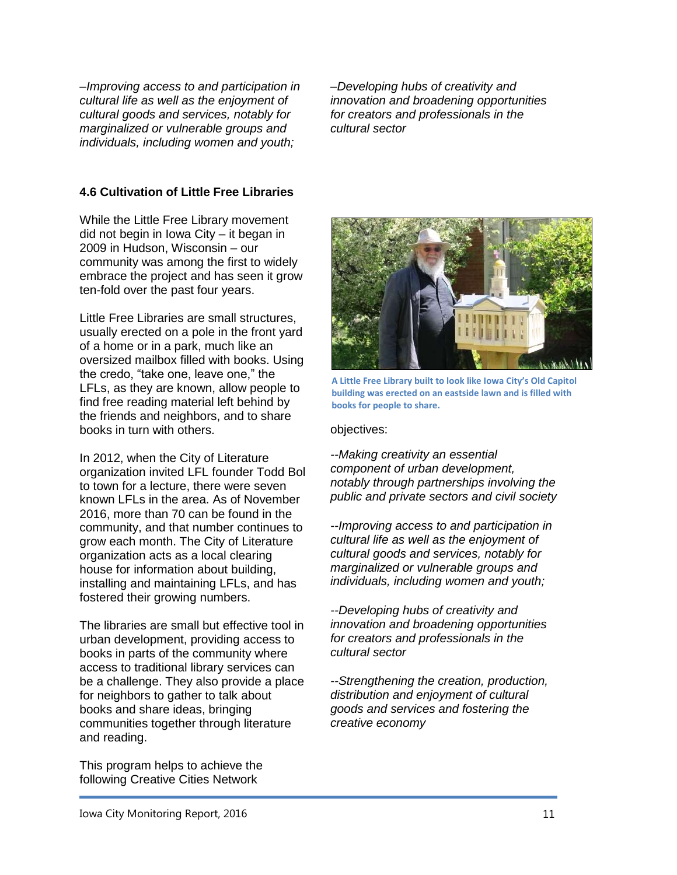*–Improving access to and participation in cultural life as well as the enjoyment of cultural goods and services, notably for marginalized or vulnerable groups and individuals, including women and youth;*

*–Developing hubs of creativity and innovation and broadening opportunities for creators and professionals in the cultural sector*

### **4.6 Cultivation of Little Free Libraries**

While the Little Free Library movement did not begin in Iowa City – it began in 2009 in Hudson, Wisconsin – our community was among the first to widely embrace the project and has seen it grow ten-fold over the past four years.

Little Free Libraries are small structures, usually erected on a pole in the front yard of a home or in a park, much like an oversized mailbox filled with books. Using the credo, "take one, leave one," the LFLs, as they are known, allow people to find free reading material left behind by the friends and neighbors, and to share books in turn with others.

In 2012, when the City of Literature organization invited LFL founder Todd Bol to town for a lecture, there were seven known LFLs in the area. As of November 2016, more than 70 can be found in the community, and that number continues to grow each month. The City of Literature organization acts as a local clearing house for information about building, installing and maintaining LFLs, and has fostered their growing numbers.

The libraries are small but effective tool in urban development, providing access to books in parts of the community where access to traditional library services can be a challenge. They also provide a place for neighbors to gather to talk about books and share ideas, bringing communities together through literature and reading.

This program helps to achieve the following Creative Cities Network



**A Little Free Library built to look like Iowa City's Old Capitol building was erected on an eastside lawn and is filled with books for people to share.**

#### objectives:

*--Making creativity an essential component of urban development, notably through partnerships involving the public and private sectors and civil society*

*--Improving access to and participation in cultural life as well as the enjoyment of cultural goods and services, notably for marginalized or vulnerable groups and individuals, including women and youth;*

*--Developing hubs of creativity and innovation and broadening opportunities for creators and professionals in the cultural sector*

*--Strengthening the creation, production, distribution and enjoyment of cultural goods and services and fostering the creative economy*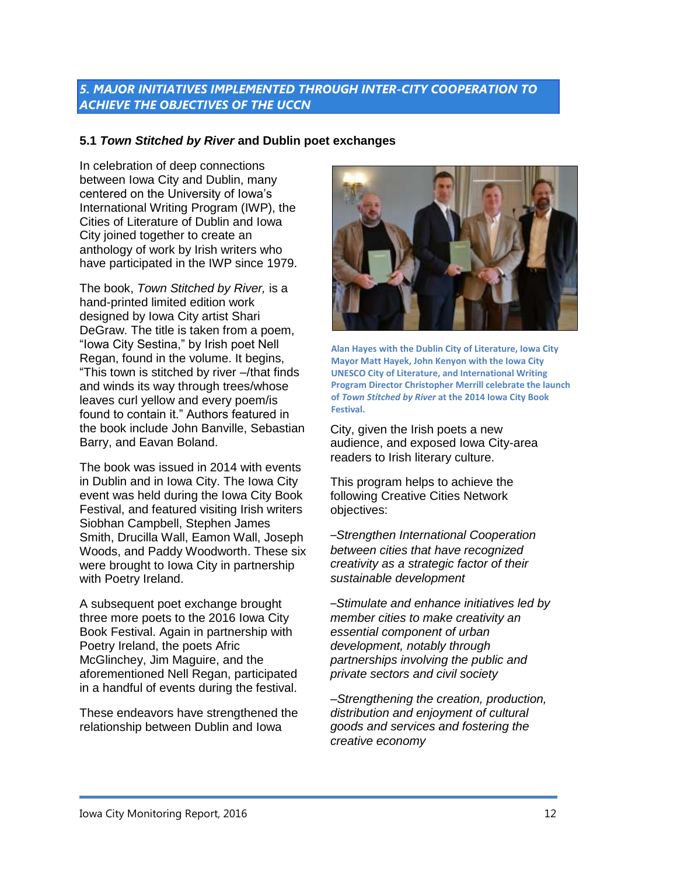# <span id="page-11-0"></span>*5. MAJOR INITIATIVES IMPLEMENTED THROUGH INTER-CITY COOPERATION TO ACHIEVE THE OBJECTIVES OF THE UCCN*

# **5.1** *Town Stitched by River* **and Dublin poet exchanges**

In celebration of deep connections between Iowa City and Dublin, many centered on the University of Iowa's International Writing Program (IWP), the Cities of Literature of Dublin and Iowa City joined together to create an anthology of work by Irish writers who have participated in the IWP since 1979.

The book, *Town Stitched by River,* is a hand-printed limited edition work designed by Iowa City artist Shari DeGraw. The title is taken from a poem, "Iowa City Sestina," by Irish poet Nell Regan, found in the volume. It begins, "This town is stitched by river –/that finds and winds its way through trees/whose leaves curl yellow and every poem/is found to contain it." Authors featured in the book include John Banville, Sebastian Barry, and Eavan Boland.

The book was issued in 2014 with events in Dublin and in Iowa City. The Iowa City event was held during the Iowa City Book Festival, and featured visiting Irish writers Siobhan Campbell, Stephen James Smith, Drucilla Wall, Eamon Wall, Joseph Woods, and Paddy Woodworth. These six were brought to Iowa City in partnership with Poetry Ireland.

A subsequent poet exchange brought three more poets to the 2016 Iowa City Book Festival. Again in partnership with Poetry Ireland, the poets Afric McGlinchey, Jim Maguire, and the aforementioned Nell Regan, participated in a handful of events during the festival.

These endeavors have strengthened the relationship between Dublin and Iowa



**Alan Hayes with the Dublin City of Literature, Iowa City Mayor Matt Hayek, John Kenyon with the Iowa City UNESCO City of Literature, and International Writing Program Director Christopher Merrill celebrate the launch of** *Town Stitched by River* **at the 2014 Iowa City Book Festival.**

City, given the Irish poets a new audience, and exposed Iowa City-area readers to Irish literary culture.

This program helps to achieve the following Creative Cities Network objectives:

*–Strengthen International Cooperation between cities that have recognized creativity as a strategic factor of their sustainable development*

*–Stimulate and enhance initiatives led by member cities to make creativity an essential component of urban development, notably through partnerships involving the public and private sectors and civil society*

*–Strengthening the creation, production, distribution and enjoyment of cultural goods and services and fostering the creative economy*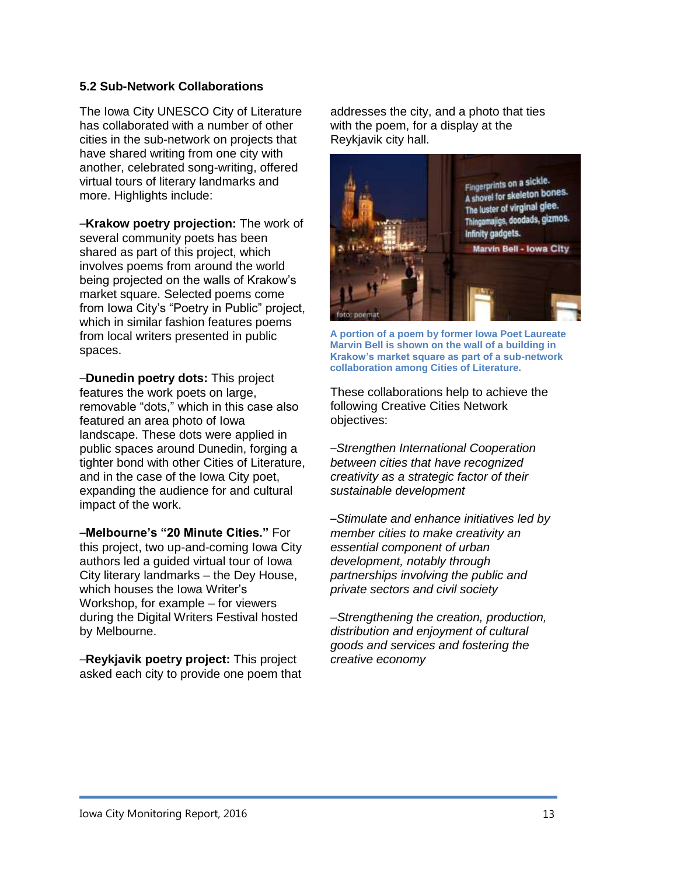### **5.2 Sub-Network Collaborations**

The Iowa City UNESCO City of Literature has collaborated with a number of other cities in the sub-network on projects that have shared writing from one city with another, celebrated song-writing, offered virtual tours of literary landmarks and more. Highlights include:

*–***Krakow poetry projection:** The work of several community poets has been shared as part of this project, which involves poems from around the world being projected on the walls of Krakow's market square. Selected poems come from Iowa City's "Poetry in Public" project, which in similar fashion features poems from local writers presented in public spaces.

*–***Dunedin poetry dots:** This project features the work poets on large, removable "dots," which in this case also featured an area photo of Iowa landscape. These dots were applied in public spaces around Dunedin, forging a tighter bond with other Cities of Literature, and in the case of the Iowa City poet, expanding the audience for and cultural impact of the work.

*–***Melbourne's "20 Minute Cities."** For this project, two up-and-coming Iowa City authors led a guided virtual tour of Iowa City literary landmarks – the Dey House, which houses the Iowa Writer's Workshop, for example – for viewers during the Digital Writers Festival hosted by Melbourne.

*–***Reykjavik poetry project:** This project asked each city to provide one poem that addresses the city, and a photo that ties with the poem, for a display at the Reykjavik city hall.



**A portion of a poem by former Iowa Poet Laureate Marvin Bell is shown on the wall of a building in Krakow's market square as part of a sub-network collaboration among Cities of Literature.**

These collaborations help to achieve the following Creative Cities Network objectives:

*–Strengthen International Cooperation between cities that have recognized creativity as a strategic factor of their sustainable development*

*–Stimulate and enhance initiatives led by member cities to make creativity an essential component of urban development, notably through partnerships involving the public and private sectors and civil society*

*–Strengthening the creation, production, distribution and enjoyment of cultural goods and services and fostering the creative economy*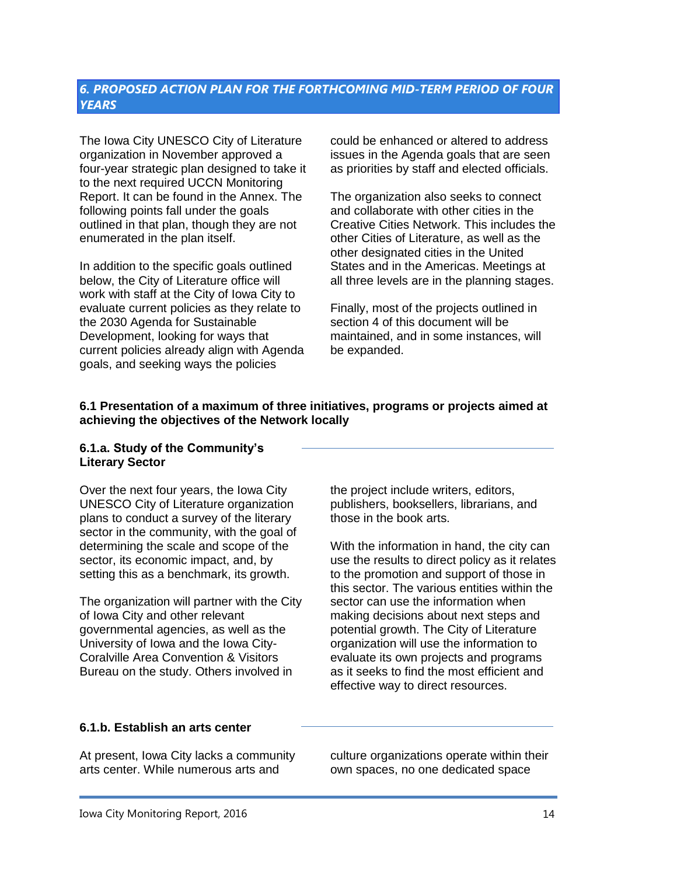# <span id="page-13-0"></span>*6. PROPOSED ACTION PLAN FOR THE FORTHCOMING MID-TERM PERIOD OF FOUR YEARS*

The Iowa City UNESCO City of Literature organization in November approved a four-year strategic plan designed to take it to the next required UCCN Monitoring Report. It can be found in the Annex. The following points fall under the goals outlined in that plan, though they are not enumerated in the plan itself.

In addition to the specific goals outlined below, the City of Literature office will work with staff at the City of Iowa City to evaluate current policies as they relate to the 2030 Agenda for Sustainable Development, looking for ways that current policies already align with Agenda goals, and seeking ways the policies

could be enhanced or altered to address issues in the Agenda goals that are seen as priorities by staff and elected officials.

The organization also seeks to connect and collaborate with other cities in the Creative Cities Network. This includes the other Cities of Literature, as well as the other designated cities in the United States and in the Americas. Meetings at all three levels are in the planning stages.

Finally, most of the projects outlined in section 4 of this document will be maintained, and in some instances, will be expanded.

#### **6.1 Presentation of a maximum of three initiatives, programs or projects aimed at achieving the objectives of the Network locally**

#### **6.1.a. Study of the Community's Literary Sector**

Over the next four years, the Iowa City UNESCO City of Literature organization plans to conduct a survey of the literary sector in the community, with the goal of determining the scale and scope of the sector, its economic impact, and, by setting this as a benchmark, its growth.

The organization will partner with the City of Iowa City and other relevant governmental agencies, as well as the University of Iowa and the Iowa City-Coralville Area Convention & Visitors Bureau on the study. Others involved in

the project include writers, editors, publishers, booksellers, librarians, and those in the book arts.

With the information in hand, the city can use the results to direct policy as it relates to the promotion and support of those in this sector. The various entities within the sector can use the information when making decisions about next steps and potential growth. The City of Literature organization will use the information to evaluate its own projects and programs as it seeks to find the most efficient and effective way to direct resources.

#### **6.1.b. Establish an arts center**

At present, Iowa City lacks a community arts center. While numerous arts and

culture organizations operate within their own spaces, no one dedicated space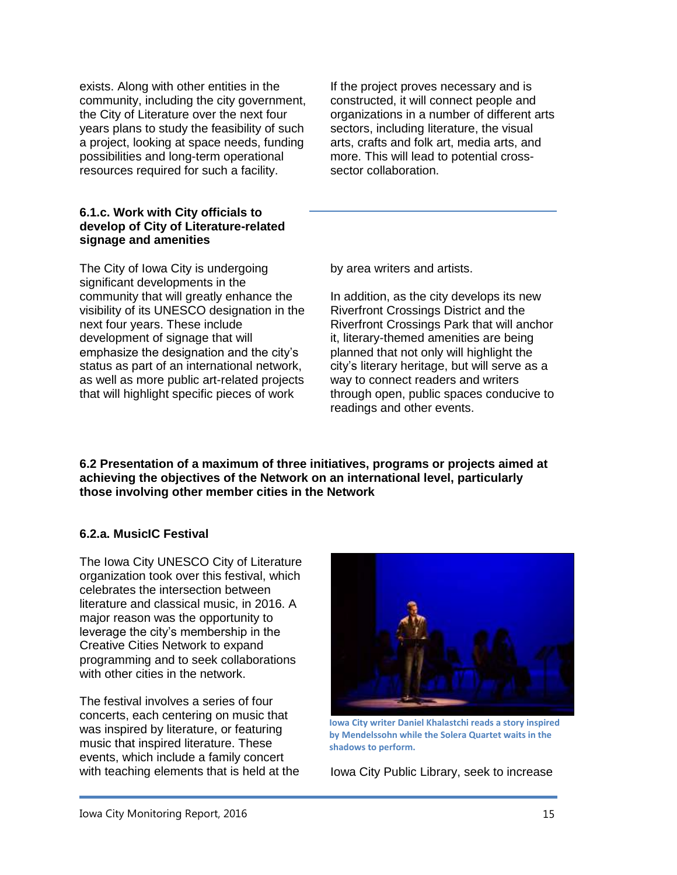exists. Along with other entities in the community, including the city government, the City of Literature over the next four years plans to study the feasibility of such a project, looking at space needs, funding possibilities and long-term operational resources required for such a facility.

#### **6.1.c. Work with City officials to develop of City of Literature-related signage and amenities**

The City of Iowa City is undergoing significant developments in the community that will greatly enhance the visibility of its UNESCO designation in the next four years. These include development of signage that will emphasize the designation and the city's status as part of an international network, as well as more public art-related projects that will highlight specific pieces of work

If the project proves necessary and is constructed, it will connect people and organizations in a number of different arts sectors, including literature, the visual arts, crafts and folk art, media arts, and more. This will lead to potential crosssector collaboration.

by area writers and artists.

In addition, as the city develops its new Riverfront Crossings District and the Riverfront Crossings Park that will anchor it, literary-themed amenities are being planned that not only will highlight the city's literary heritage, but will serve as a way to connect readers and writers through open, public spaces conducive to readings and other events.

**6.2 Presentation of a maximum of three initiatives, programs or projects aimed at achieving the objectives of the Network on an international level, particularly those involving other member cities in the Network**

# **6.2.a. MusicIC Festival**

The Iowa City UNESCO City of Literature organization took over this festival, which celebrates the intersection between literature and classical music, in 2016. A major reason was the opportunity to leverage the city's membership in the Creative Cities Network to expand programming and to seek collaborations with other cities in the network.

The festival involves a series of four concerts, each centering on music that was inspired by literature, or featuring music that inspired literature. These events, which include a family concert



**Iowa City writer Daniel Khalastchi reads a story inspired by Mendelssohn while the Solera Quartet waits in the shadows to perform.**

with teaching elements that is held at the Iowa City Public Library, seek to increase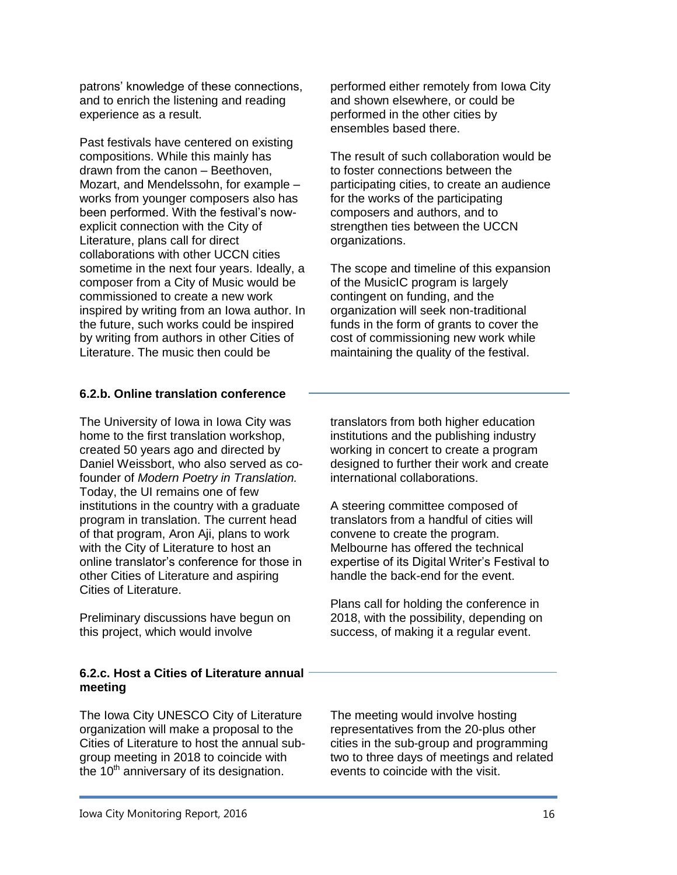patrons' knowledge of these connections, and to enrich the listening and reading experience as a result.

Past festivals have centered on existing compositions. While this mainly has drawn from the canon – Beethoven, Mozart, and Mendelssohn, for example – works from younger composers also has been performed. With the festival's nowexplicit connection with the City of Literature, plans call for direct collaborations with other UCCN cities sometime in the next four years. Ideally, a composer from a City of Music would be commissioned to create a new work inspired by writing from an Iowa author. In the future, such works could be inspired by writing from authors in other Cities of Literature. The music then could be

### **6.2.b. Online translation conference**

The University of Iowa in Iowa City was home to the first translation workshop, created 50 years ago and directed by Daniel Weissbort, who also served as cofounder of *Modern Poetry in Translation.*  Today, the UI remains one of few institutions in the country with a graduate program in translation. The current head of that program, Aron Aji, plans to work with the City of Literature to host an online translator's conference for those in other Cities of Literature and aspiring Cities of Literature.

Preliminary discussions have begun on this project, which would involve

### **6.2.c. Host a Cities of Literature annual meeting**

The Iowa City UNESCO City of Literature organization will make a proposal to the Cities of Literature to host the annual subgroup meeting in 2018 to coincide with the 10<sup>th</sup> anniversary of its designation.

performed either remotely from Iowa City and shown elsewhere, or could be performed in the other cities by ensembles based there.

The result of such collaboration would be to foster connections between the participating cities, to create an audience for the works of the participating composers and authors, and to strengthen ties between the UCCN organizations.

The scope and timeline of this expansion of the MusicIC program is largely contingent on funding, and the organization will seek non-traditional funds in the form of grants to cover the cost of commissioning new work while maintaining the quality of the festival.

translators from both higher education institutions and the publishing industry working in concert to create a program designed to further their work and create international collaborations.

A steering committee composed of translators from a handful of cities will convene to create the program. Melbourne has offered the technical expertise of its Digital Writer's Festival to handle the back-end for the event.

Plans call for holding the conference in 2018, with the possibility, depending on success, of making it a regular event.

The meeting would involve hosting representatives from the 20-plus other cities in the sub-group and programming two to three days of meetings and related events to coincide with the visit.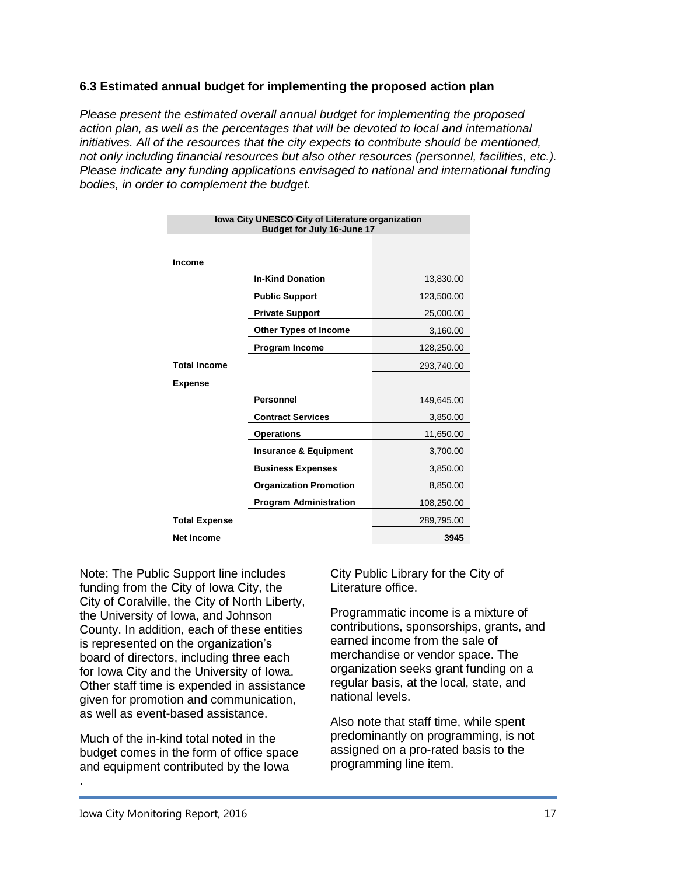## **6.3 Estimated annual budget for implementing the proposed action plan**

*Please present the estimated overall annual budget for implementing the proposed action plan, as well as the percentages that will be devoted to local and international initiatives. All of the resources that the city expects to contribute should be mentioned, not only including financial resources but also other resources (personnel, facilities, etc.). Please indicate any funding applications envisaged to national and international funding bodies, in order to complement the budget.*

| Iowa City UNESCO City of Literature organization<br>Budget for July 16-June 17 |                                  |            |
|--------------------------------------------------------------------------------|----------------------------------|------------|
|                                                                                |                                  |            |
| <b>Income</b>                                                                  |                                  |            |
|                                                                                | <b>In-Kind Donation</b>          | 13,830.00  |
|                                                                                | <b>Public Support</b>            | 123,500.00 |
|                                                                                | <b>Private Support</b>           | 25,000.00  |
|                                                                                | <b>Other Types of Income</b>     | 3,160.00   |
|                                                                                | <b>Program Income</b>            | 128,250.00 |
| <b>Total Income</b>                                                            |                                  | 293,740.00 |
| <b>Expense</b>                                                                 |                                  |            |
|                                                                                | <b>Personnel</b>                 | 149,645.00 |
|                                                                                | <b>Contract Services</b>         | 3,850.00   |
|                                                                                | <b>Operations</b>                | 11,650.00  |
|                                                                                | <b>Insurance &amp; Equipment</b> | 3,700.00   |
|                                                                                | <b>Business Expenses</b>         | 3,850.00   |
|                                                                                | <b>Organization Promotion</b>    | 8,850.00   |
|                                                                                | <b>Program Administration</b>    | 108,250.00 |
| <b>Total Expense</b>                                                           |                                  | 289,795.00 |
| <b>Net Income</b>                                                              |                                  | 3945       |

Note: The Public Support line includes funding from the City of Iowa City, the City of Coralville, the City of North Liberty, the University of Iowa, and Johnson County. In addition, each of these entities is represented on the organization's board of directors, including three each for Iowa City and the University of Iowa. Other staff time is expended in assistance given for promotion and communication, as well as event-based assistance.

Much of the in-kind total noted in the budget comes in the form of office space and equipment contributed by the Iowa

City Public Library for the City of Literature office.

Programmatic income is a mixture of contributions, sponsorships, grants, and earned income from the sale of merchandise or vendor space. The organization seeks grant funding on a regular basis, at the local, state, and national levels.

Also note that staff time, while spent predominantly on programming, is not assigned on a pro-rated basis to the programming line item.

.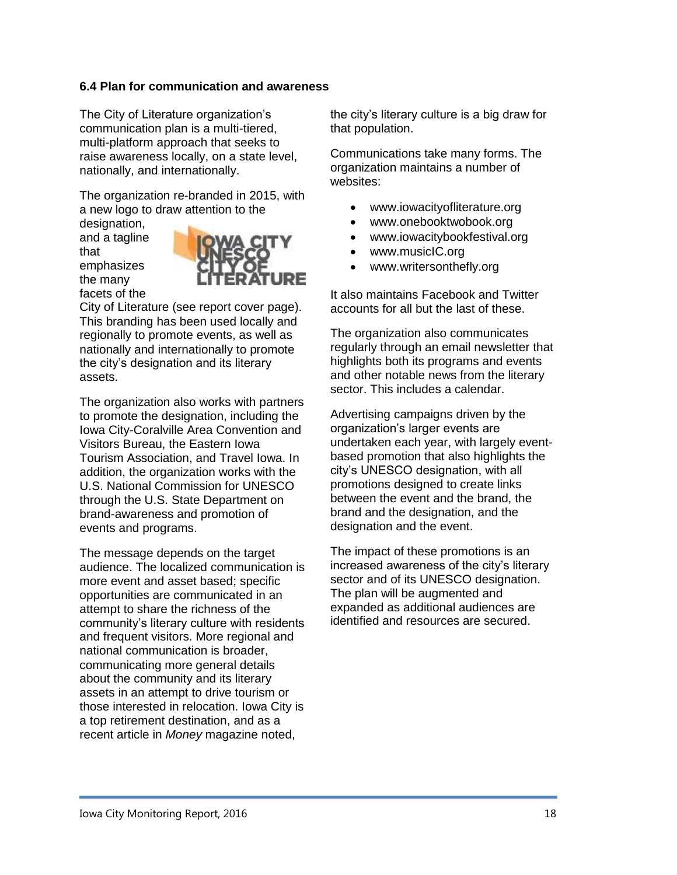# **6.4 Plan for communication and awareness**

The City of Literature organization's communication plan is a multi-tiered, multi-platform approach that seeks to raise awareness locally, on a state level, nationally, and internationally.

The organization re-branded in 2015, with a new logo to draw attention to the

designation, and a tagline that emphasizes the many facets of the



City of Literature (see report cover page). This branding has been used locally and regionally to promote events, as well as nationally and internationally to promote the city's designation and its literary assets.

The organization also works with partners to promote the designation, including the Iowa City-Coralville Area Convention and Visitors Bureau, the Eastern Iowa Tourism Association, and Travel Iowa. In addition, the organization works with the U.S. National Commission for UNESCO through the U.S. State Department on brand-awareness and promotion of events and programs.

The message depends on the target audience. The localized communication is more event and asset based; specific opportunities are communicated in an attempt to share the richness of the community's literary culture with residents and frequent visitors. More regional and national communication is broader, communicating more general details about the community and its literary assets in an attempt to drive tourism or those interested in relocation. Iowa City is a top retirement destination, and as a recent article in *Money* magazine noted,

the city's literary culture is a big draw for that population.

Communications take many forms. The organization maintains a number of websites:

- www.iowacityofliterature.org
- www.onebooktwobook.org
- www.iowacitybookfestival.org
- www.musicIC.org
- www.writersonthefly.org

It also maintains Facebook and Twitter accounts for all but the last of these.

The organization also communicates regularly through an email newsletter that highlights both its programs and events and other notable news from the literary sector. This includes a calendar.

Advertising campaigns driven by the organization's larger events are undertaken each year, with largely eventbased promotion that also highlights the city's UNESCO designation, with all promotions designed to create links between the event and the brand, the brand and the designation, and the designation and the event.

The impact of these promotions is an increased awareness of the city's literary sector and of its UNESCO designation. The plan will be augmented and expanded as additional audiences are identified and resources are secured.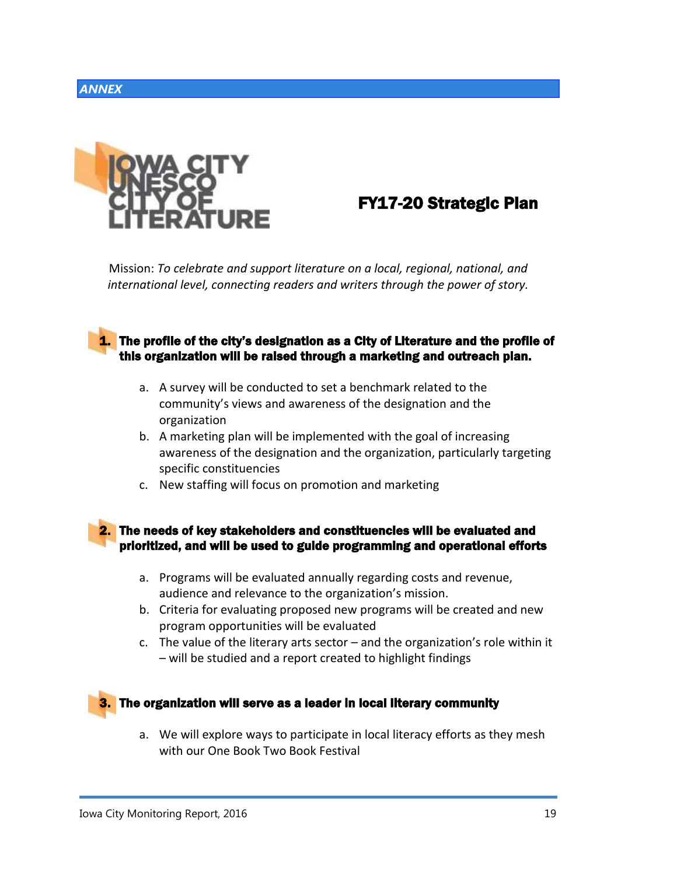# <span id="page-18-0"></span>*ANNEX*



# FY17-20 Strategic Plan

Mission: *To celebrate and support literature on a local, regional, national, and international level, connecting readers and writers through the power of story.*

# **1.** The profile of the city's designation as a City of Literature and the profile of this organization will be raised through a marketing and outreach plan.

- a. A survey will be conducted to set a benchmark related to the community's views and awareness of the designation and the organization
- b. A marketing plan will be implemented with the goal of increasing awareness of the designation and the organization, particularly targeting specific constituencies
- c. New staffing will focus on promotion and marketing

### 2. The needs of key stakeholders and constituencies will be evaluated and prioritized, and will be used to guide programming and operational efforts

- a. Programs will be evaluated annually regarding costs and revenue, audience and relevance to the organization's mission.
- b. Criteria for evaluating proposed new programs will be created and new program opportunities will be evaluated
- c. The value of the literary arts sector  $-$  and the organization's role within it – will be studied and a report created to highlight findings



a. We will explore ways to participate in local literacy efforts as they mesh with our One Book Two Book Festival